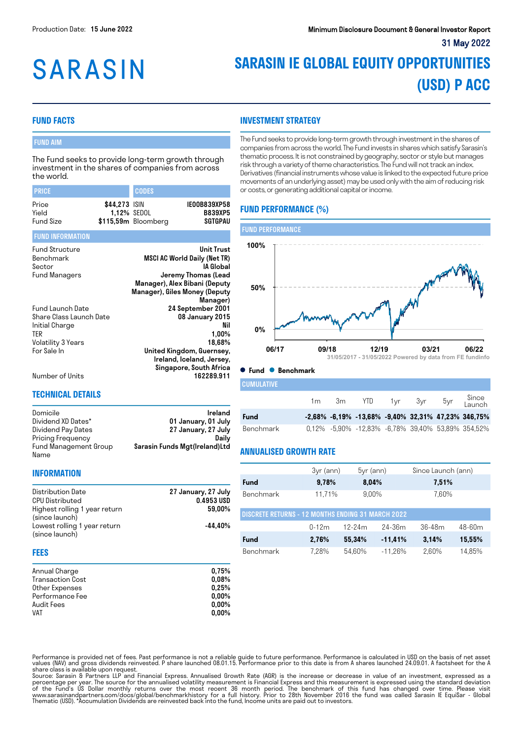# **SARASIN**

# **SARASIN IE GLOBAL EQUITY OPPORTUNITIES (USD) P ACC**

# **FUND FACTS**

# FUND AIM

The Fund seeks to provide long-term growth through investment in the shares of companies from across the world.

| <b>PRICE</b>                                                                                              |               | <b>CODES</b>                       |                                                                                                                                                                     |
|-----------------------------------------------------------------------------------------------------------|---------------|------------------------------------|---------------------------------------------------------------------------------------------------------------------------------------------------------------------|
| Price<br>Yield<br>Fund Size                                                                               | \$44,273 ISIN | 1,12% SEDOL<br>\$115,59m Bloomberg | IE00B839XP58<br><b>B839XP5</b><br><b>SGTGPAU</b>                                                                                                                    |
| <b>FUND INFORMATION</b>                                                                                   |               |                                    |                                                                                                                                                                     |
| <b>Fund Structure</b><br>Benchmark<br>Sector<br>Fund Managers                                             |               |                                    | <b>Unit Trust</b><br>MSCI AC World Daily (Net TR)<br>IA Global<br>Jeremy Thomas (Lead<br>Manager), Alex Bibani (Deputy<br>Manager), Giles Money (Deputy<br>Manager) |
| Fund Launch Date<br>Share Class Launch Date<br>Initial Charge<br>ter<br>Volatility 3 Years<br>For Sale In |               |                                    | 24 September 2001<br>08 January 2015<br>Nil<br>$1,00\%$<br>18,68%<br>United Kingdom, Guernsey,<br>Ireland, Iceland, Jersey,<br>Singapore, South Africa              |
| Number of Units                                                                                           |               |                                    | 162289.911                                                                                                                                                          |

#### **TECHNICAL DETAILS**

| Domicile              | Ireland                       |
|-----------------------|-------------------------------|
| Dividend XD Dates*    | 01 January, 01 July           |
| Dividend Pay Dates    | 27 January, 27 July           |
| Pricing Frequency     | Dailv                         |
| Fund Management Group | Sarasin Funds Mgt(Ireland)Ltd |
| Name                  |                               |

#### **INFORMATION**

| Distribution Date             | 27 January, 27 July |
|-------------------------------|---------------------|
| <b>CPU Distributed</b>        | 0.4953 USD          |
| Highest rolling 1 year return | 59.00%              |
| (since launch)                |                     |
| Lowest rolling 1 year return  | -44.40%             |
| (since launch)                |                     |
|                               |                     |

# **FEES**

| Annual Charge           | 0.75%    |
|-------------------------|----------|
| <b>Transaction Cost</b> | 0.08%    |
| Other Expenses          | 0.25%    |
| Performance Fee         | $0.00\%$ |
| Audit Fees              | $0.00\%$ |
| <b>VAT</b>              | $0.00\%$ |

# **INVESTMENT STRATEGY**

The Fund seeks to provide long-term growth through investment in the shares of companies from across the world. The Fund invests in shares which satisfy Sarasin's thematic process. It is not constrained by geography, sector or style but manages risk through a variety of theme characteristics. The Fund will not track an index. Derivatives (financial instruments whose value is linked to the expected future price movements of an underlying asset) may be used only with the aim of reducing risk or costs, or generating additional capital or income.

# **FUND PERFORMANCE (%)**



#### **Fund Benchmark**

| <b>CUMULATIVE</b> |  |                       |  |                                                                |
|-------------------|--|-----------------------|--|----------------------------------------------------------------|
|                   |  | 1m 3m YTD 1yr 3yr 5yr |  | Since<br>Launch                                                |
| Fund              |  |                       |  | $-2,68\%$ $-6,19\%$ $-13,68\%$ $-9,40\%$ 32,31% 47,23% 346,75% |
| Benchmark         |  |                       |  | 0,12% -5,90% -12,83% -6,78% 39,40% 53,89% 354,52%              |

# **ANNUALISED GROWTH RATE**

|                                                          | $3yr$ (ann) | $5yr$ (ann) |            | Since Launch (ann) |            |  |
|----------------------------------------------------------|-------------|-------------|------------|--------------------|------------|--|
| Fund                                                     | 9,78%       | 8.04%       |            | 7,51%              |            |  |
| <b>Benchmark</b>                                         | 11,71%      | 9.00%       |            | 7,60%              |            |  |
| <b>DISCRETE RETURNS - 12 MONTHS ENDING 31 MARCH 2022</b> |             |             |            |                    |            |  |
|                                                          | $0-12m$     | $12-24m$    | $24 - 36m$ | $36 - 48m$         | $48 - 60m$ |  |
| Fund                                                     | 2,76%       | 55,34%      | $-11,41%$  | 3.14%              | 15,55%     |  |
| Benchmark                                                | 7.28%       | 54.60%      | $-11.26%$  | 2.60%              | 14.85%     |  |

Performance is provided net of fees. Past performance is not a reliable guide to future performance. Performance is calculated in USD on the basis of net asset<br>values (NAV) and gross dividends reinvested. P share launched

Source: Sarasin & Partners LLP and Financial Express. Annualised Growth Rate (AGR) is the increase or decrease in value of an investment, expressed as a<br>percentage per year. The source for the annualised volatility measure